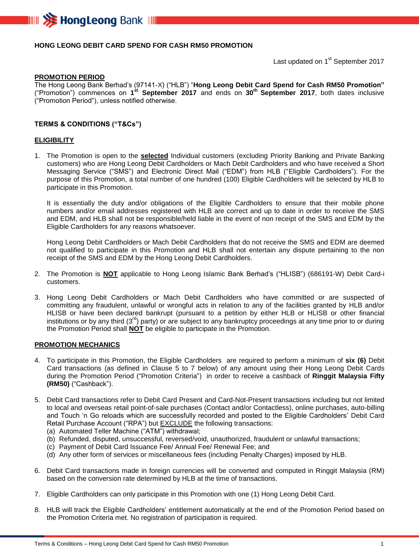

## **HONG LEONG DEBIT CARD SPEND FOR CASH RM50 PROMOTION**

Last updated on 1<sup>st</sup> September 2017

#### **PROMOTION PERIOD**

The Hong Leong Bank Berhad's (97141-X) ("HLB") "**Hong Leong Debit Card Spend for Cash RM50 Promotion"** ("Promotion") commences on **1 st September 2017** and ends on **30 th September 2017**, both dates inclusive ("Promotion Period"), unless notified otherwise.

### **TERMS & CONDITIONS ("T&Cs")**

#### **ELIGIBILITY**

1. The Promotion is open to the **selected** Individual customers (excluding Priority Banking and Private Banking customers) who are Hong Leong Debit Cardholders or Mach Debit Cardholders and who have received a Short Messaging Service ("SMS") and Electronic Direct Mail ("EDM") from HLB ("Eligible Cardholders"). For the purpose of this Promotion, a total number of one hundred (100) Eligible Cardholders will be selected by HLB to participate in this Promotion.

It is essentially the duty and/or obligations of the Eligible Cardholders to ensure that their mobile phone numbers and/or email addresses registered with HLB are correct and up to date in order to receive the SMS and EDM, and HLB shall not be responsible/held liable in the event of non receipt of the SMS and EDM by the Eligible Cardholders for any reasons whatsoever.

Hong Leong Debit Cardholders or Mach Debit Cardholders that do not receive the SMS and EDM are deemed not qualified to participate in this Promotion and HLB shall not entertain any dispute pertaining to the non receipt of the SMS and EDM by the Hong Leong Debit Cardholders.

- 2. The Promotion is **NOT** applicable to Hong Leong Islamic Bank Berhad's ("HLISB") (686191-W) Debit Card-i customers.
- 3. Hong Leong Debit Cardholders or Mach Debit Cardholders who have committed or are suspected of committing any fraudulent, unlawful or wrongful acts in relation to any of the facilities granted by HLB and/or HLISB or have been declared bankrupt (pursuant to a petition by either HLB or HLISB or other financial institutions or by any third (3<sup>rd</sup>) party) or are subject to any bankruptcy proceedings at any time prior to or during the Promotion Period shall **NOT** be eligible to participate in the Promotion.

#### **PROMOTION MECHANICS**

- 4. To participate in this Promotion, the Eligible Cardholders are required to perform a minimum of **six (6)** Debit Card transactions (as defined in Clause 5 to 7 below) of any amount using their Hong Leong Debit Cards during the Promotion Period ("Promotion Criteria") in order to receive a cashback of **Ringgit Malaysia Fifty (RM50)** ("Cashback").
- 5. Debit Card transactions refer to Debit Card Present and Card-Not-Present transactions including but not limited to local and overseas retail point-of-sale purchases (Contact and/or Contactless), online purchases, auto-billing and Touch 'n Go reloads which are successfully recorded and posted to the Eligible Cardholders' Debit Card Retail Purchase Account ("RPA") but **EXCLUDE** the following transactions:
	- (a) Automated Teller Machine ("ATM") withdrawal;
	- (b) Refunded, disputed, unsuccessful, reversed/void, unauthorized, fraudulent or unlawful transactions;
	- (c) Payment of Debit Card Issuance Fee/ Annual Fee/ Renewal Fee; and
	- (d) Any other form of services or miscellaneous fees (including Penalty Charges) imposed by HLB.
- 6. Debit Card transactions made in foreign currencies will be converted and computed in Ringgit Malaysia (RM) based on the conversion rate determined by HLB at the time of transactions.
- 7. Eligible Cardholders can only participate in this Promotion with one (1) Hong Leong Debit Card.
- 8. HLB will track the Eligible Cardholders' entitlement automatically at the end of the Promotion Period based on the Promotion Criteria met. No registration of participation is required.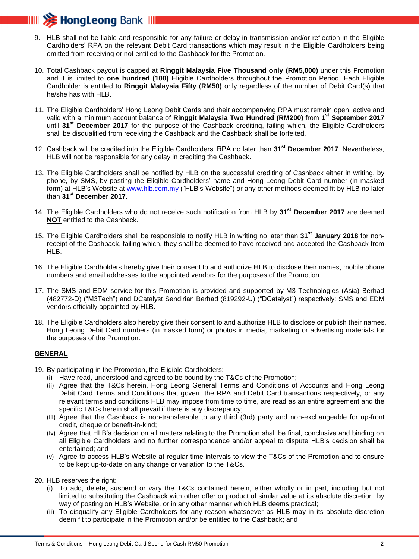

- 9. HLB shall not be liable and responsible for any failure or delay in transmission and/or reflection in the Eligible Cardholders' RPA on the relevant Debit Card transactions which may result in the Eligible Cardholders being omitted from receiving or not entitled to the Cashback for the Promotion.
- 10. Total Cashback payout is capped at **Ringgit Malaysia Five Thousand only (RM5,000)** under this Promotion and it is limited to **one hundred (100)** Eligible Cardholders throughout the Promotion Period. Each Eligible Cardholder is entitled to **Ringgit Malaysia Fifty** (**RM50)** only regardless of the number of Debit Card(s) that he/she has with HLB.
- 11. The Eligible Cardholders' Hong Leong Debit Cards and their accompanying RPA must remain open, active and valid with a minimum account balance of **Ringgit Malaysia Two Hundred (RM200)** from **1 st September 2017** until **31st December 2017** for the purpose of the Cashback crediting, failing which, the Eligible Cardholders shall be disqualified from receiving the Cashback and the Cashback shall be forfeited.
- 12. Cashback will be credited into the Eligible Cardholders' RPA no later than **31st December 2017**. Nevertheless, HLB will not be responsible for any delay in crediting the Cashback.
- 13. The Eligible Cardholders shall be notified by HLB on the successful crediting of Cashback either in writing, by phone, by SMS, by posting the Eligible Cardholders' name and Hong Leong Debit Card number (in masked form) at HLB's Website at [www.hlb.com.my](http://www.hlb.com.my/) ("HLB's Website") or any other methods deemed fit by HLB no later than **31st December 2017**.
- 14. The Eligible Cardholders who do not receive such notification from HLB by **31st December 2017** are deemed **NOT** entitled to the Cashback.
- 15. The Eligible Cardholders shall be responsible to notify HLB in writing no later than **31st January 2018** for nonreceipt of the Cashback, failing which, they shall be deemed to have received and accepted the Cashback from HLB.
- 16. The Eligible Cardholders hereby give their consent to and authorize HLB to disclose their names, mobile phone numbers and email addresses to the appointed vendors for the purposes of the Promotion.
- 17. The SMS and EDM service for this Promotion is provided and supported by M3 Technologies (Asia) Berhad (482772-D) ("M3Tech") and DCatalyst Sendirian Berhad (819292-U) ("DCatalyst") respectively; SMS and EDM vendors officially appointed by HLB.
- 18. The Eligible Cardholders also hereby give their consent to and authorize HLB to disclose or publish their names, Hong Leong Debit Card numbers (in masked form) or photos in media, marketing or advertising materials for the purposes of the Promotion.

## **GENERAL**

- 19. By participating in the Promotion, the Eligible Cardholders:
	- (i) Have read, understood and agreed to be bound by the T&Cs of the Promotion;
	- (ii) Agree that the T&Cs herein, Hong Leong General Terms and Conditions of Accounts and Hong Leong Debit Card Terms and Conditions that govern the RPA and Debit Card transactions respectively, or any relevant terms and conditions HLB may impose from time to time, are read as an entire agreement and the specific T&Cs herein shall prevail if there is any discrepancy;
	- (iii) Agree that the Cashback is non-transferable to any third (3rd) party and non-exchangeable for up-front credit, cheque or benefit-in-kind;
	- (iv) Agree that HLB's decision on all matters relating to the Promotion shall be final, conclusive and binding on all Eligible Cardholders and no further correspondence and/or appeal to dispute HLB's decision shall be entertained; and
	- (v) Agree to access HLB's Website at regular time intervals to view the T&Cs of the Promotion and to ensure to be kept up-to-date on any change or variation to the T&Cs.
- 20. HLB reserves the right:
	- (i) To add, delete, suspend or vary the T&Cs contained herein, either wholly or in part, including but not limited to substituting the Cashback with other offer or product of similar value at its absolute discretion, by way of posting on HLB's Website, or in any other manner which HLB deems practical;
	- (ii) To disqualify any Eligible Cardholders for any reason whatsoever as HLB may in its absolute discretion deem fit to participate in the Promotion and/or be entitled to the Cashback; and